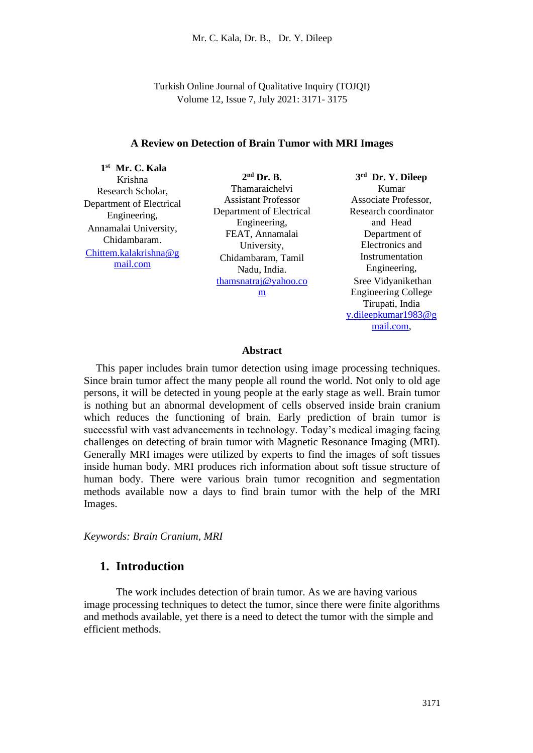Turkish Online Journal of Qualitative Inquiry (TOJQI) Volume 12, Issue 7, July 2021: 3171- 3175

#### **A Review on Detection of Brain Tumor with MRI Images**

**1 st Mr. C. Kala** Krishna Research Scholar, Department of Electrical Engineering, Annamalai University, Chidambaram. [Chittem.kalakrishna@g](mailto:Chittem.kalakrishna@gmail.com) [mail.com](mailto:Chittem.kalakrishna@gmail.com)

**2 nd Dr. B.** Thamaraichelvi Assistant Professor Department of Electrical Engineering, FEAT, Annamalai University, Chidambaram, Tamil Nadu, India. [thamsnatraj@yahoo.co](mailto:thamsnatraj@yahoo.com) [m](mailto:thamsnatraj@yahoo.com)

**3 rd Dr. Y. Dileep** Kumar Associate Professor, Research coordinator and Head Department of Electronics and Instrumentation Engineering, Sree Vidyanikethan Engineering College Tirupati, India [y.dileepkumar1983@g](mailto:y.dileepkumar1983@gmail.com) [mail.com,](mailto:y.dileepkumar1983@gmail.com)

#### **Abstract**

This paper includes brain tumor detection using image processing techniques. Since brain tumor affect the many people all round the world. Not only to old age persons, it will be detected in young people at the early stage as well. Brain tumor is nothing but an abnormal development of cells observed inside brain cranium which reduces the functioning of brain. Early prediction of brain tumor is successful with vast advancements in technology. Today's medical imaging facing challenges on detecting of brain tumor with Magnetic Resonance Imaging (MRI). Generally MRI images were utilized by experts to find the images of soft tissues inside human body. MRI produces rich information about soft tissue structure of human body. There were various brain tumor recognition and segmentation methods available now a days to find brain tumor with the help of the MRI Images.

*Keywords: Brain Cranium, MRI*

## **1. Introduction**

The work includes detection of brain tumor. As we are having various image processing techniques to detect the tumor, since there were finite algorithms and methods available, yet there is a need to detect the tumor with the simple and efficient methods.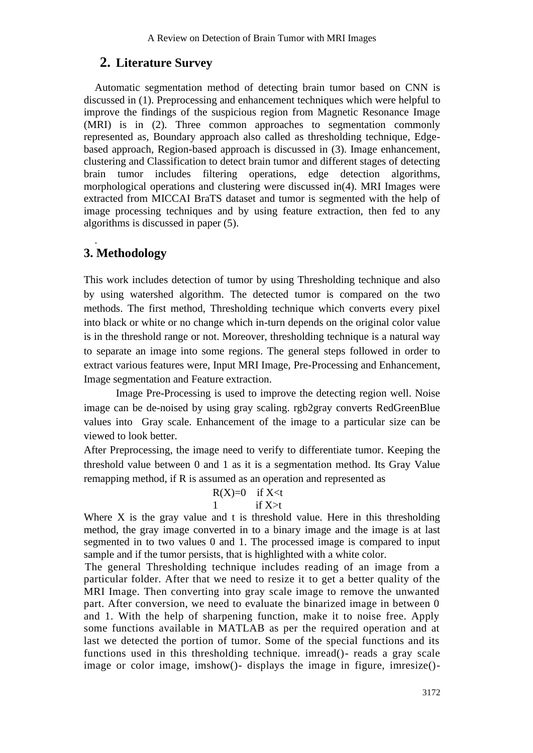# **2. Literature Survey**

Automatic segmentation method of detecting brain tumor based on CNN is discussed in (1). Preprocessing and enhancement techniques which were helpful to improve the findings of the suspicious region from Magnetic Resonance Image (MRI) is in (2). Three common approaches to segmentation commonly represented as, Boundary approach also called as thresholding technique, Edgebased approach, Region-based approach is discussed in (3). Image enhancement, clustering and Classification to detect brain tumor and different stages of detecting brain tumor includes filtering operations, edge detection algorithms, morphological operations and clustering were discussed in(4). MRI Images were extracted from MICCAI BraTS dataset and tumor is segmented with the help of image processing techniques and by using feature extraction, then fed to any algorithms is discussed in paper (5).

# **3. Methodology**

.

This work includes detection of tumor by using Thresholding technique and also by using watershed algorithm. The detected tumor is compared on the two methods. The first method, Thresholding technique which converts every pixel into black or white or no change which in-turn depends on the original color value is in the threshold range or not. Moreover, thresholding technique is a natural way to separate an image into some regions. The general steps followed in order to extract various features were, Input MRI Image, Pre-Processing and Enhancement, Image segmentation and Feature extraction.

Image Pre-Processing is used to improve the detecting region well. Noise image can be de-noised by using gray scaling. rgb2gray converts RedGreenBlue values into Gray scale. Enhancement of the image to a particular size can be viewed to look better.

After Preprocessing, the image need to verify to differentiate tumor. Keeping the threshold value between 0 and 1 as it is a segmentation method. Its Gray Value remapping method, if R is assumed as an operation and represented as

### $R(X)=0$  if  $X \leq t$ 1 if  $X>t$

Where X is the gray value and t is threshold value. Here in this thresholding method, the gray image converted in to a binary image and the image is at last segmented in to two values 0 and 1. The processed image is compared to input sample and if the tumor persists, that is highlighted with a white color.

The general Thresholding technique includes reading of an image from a particular folder. After that we need to resize it to get a better quality of the MRI Image. Then converting into gray scale image to remove the unwanted part. After conversion, we need to evaluate the binarized image in between 0 and 1. With the help of sharpening function, make it to noise free. Apply some functions available in MATLAB as per the required operation and at last we detected the portion of tumor. Some of the special functions and its functions used in this thresholding technique. imread()- reads a gray scale image or color image, imshow()- displays the image in figure, imresize()-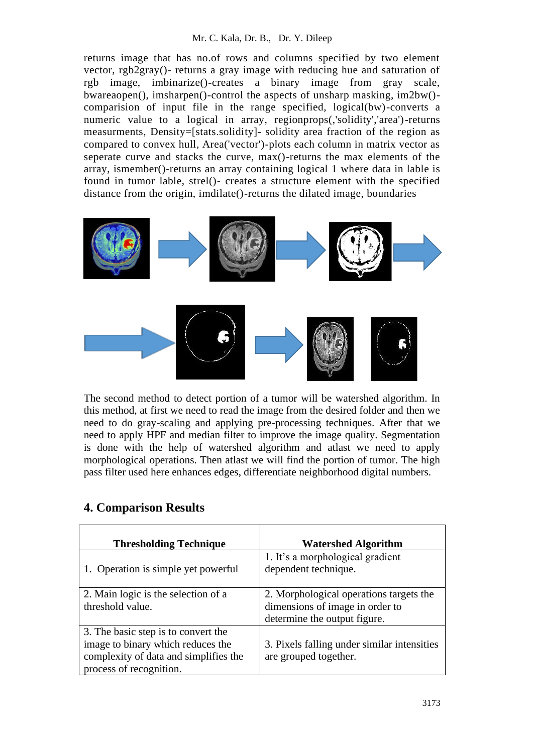### Mr. C. Kala, Dr. B., Dr. Y. Dileep

returns image that has no.of rows and columns specified by two element vector, rgb2gray()- returns a gray image with reducing hue and saturation of rgb image, imbinarize()-creates a binary image from gray scale, bwareaopen(), imsharpen()-control the aspects of unsharp masking, im2bw() comparision of input file in the range specified, logical(bw)-converts a numeric value to a logical in array, regionprops(,'solidity','area')-returns measurments, Density=[stats.solidity]- solidity area fraction of the region as compared to convex hull, Area('vector')-plots each column in matrix vector as seperate curve and stacks the curve, max()-returns the max elements of the array, ismember()-returns an array containing logical 1 where data in lable is found in tumor lable, strel()- creates a structure element with the specified distance from the origin, imdilate()-returns the dilated image, boundaries



The second method to detect portion of a tumor will be watershed algorithm. In this method, at first we need to read the image from the desired folder and then we need to do gray-scaling and applying pre-processing techniques. After that we need to apply HPF and median filter to improve the image quality. Segmentation is done with the help of watershed algorithm and atlast we need to apply morphological operations. Then atlast we will find the portion of tumor. The high pass filter used here enhances edges, differentiate neighborhood digital numbers.

| <b>Thresholding Technique</b>                                                                                                                | <b>Watershed Algorithm</b>                                                                                 |
|----------------------------------------------------------------------------------------------------------------------------------------------|------------------------------------------------------------------------------------------------------------|
| 1. Operation is simple yet powerful                                                                                                          | 1. It's a morphological gradient<br>dependent technique.                                                   |
| 2. Main logic is the selection of a<br>threshold value.                                                                                      | 2. Morphological operations targets the<br>dimensions of image in order to<br>determine the output figure. |
| 3. The basic step is to convert the<br>image to binary which reduces the<br>complexity of data and simplifies the<br>process of recognition. | 3. Pixels falling under similar intensities<br>are grouped together.                                       |

# **4. Comparison Results**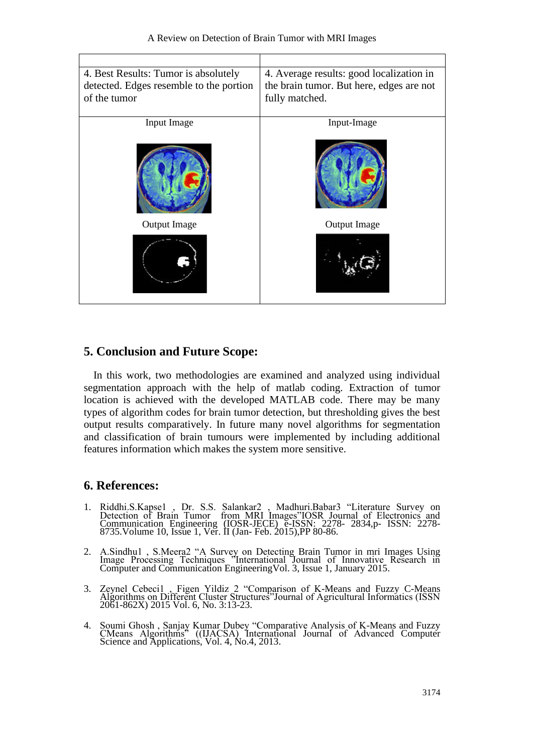| 4. Best Results: Tumor is absolutely<br>detected. Edges resemble to the portion<br>of the tumor | 4. Average results: good localization in<br>the brain tumor. But here, edges are not<br>fully matched. |
|-------------------------------------------------------------------------------------------------|--------------------------------------------------------------------------------------------------------|
| Input Image                                                                                     | Input-Image                                                                                            |
|                                                                                                 |                                                                                                        |
| <b>Output Image</b>                                                                             | Output Image                                                                                           |
|                                                                                                 |                                                                                                        |

## **5. Conclusion and Future Scope:**

In this work, two methodologies are examined and analyzed using individual segmentation approach with the help of matlab coding. Extraction of tumor location is achieved with the developed MATLAB code. There may be many types of algorithm codes for brain tumor detection, but thresholding gives the best output results comparatively. In future many novel algorithms for segmentation and classification of brain tumours were implemented by including additional features information which makes the system more sensitive.

# **6. References:**

- 1. Riddhi.S.Kapse1 , Dr. S.S. Salankar2 , Madhuri.Babar3 "Literature Survey on Detection of Brain Tumor from MRI Images"IOSR Journal of Electronics and Communication Engineering (IOSR-JECE) e-ISSN: 2278- 2834,p- ISSN: 2278- 8735.Volume 10, Issue 1, Ver. II (Jan- Feb. 2015),PP 80-86.
- 2. A.Sindhu1 , S.Meera2 "A Survey on Detecting Brain Tumor in mri Images Using Image Processing Techniques "International Journal of Innovative Research in Computer and Communication EngineeringVol. 3, Issue 1, January 2015.
- 3. Zeynel Cebeci1 , Figen Yildiz 2 "Comparison of K-Means and Fuzzy C-Means Algorithms on Different Cluster Structures"Journal of Agricultural Informatics (ISSN 2061-862X) 2015 Vol. 6, No. 3:13-23.
- 4. Soumi Ghosh , Sanjay Kumar Dubey "Comparative Analysis of K-Means and Fuzzy CMeans Algorithms" ((IJACSA) International Journal of Advanced Computer Science and Applications, Vol. 4, No.4, 2013.